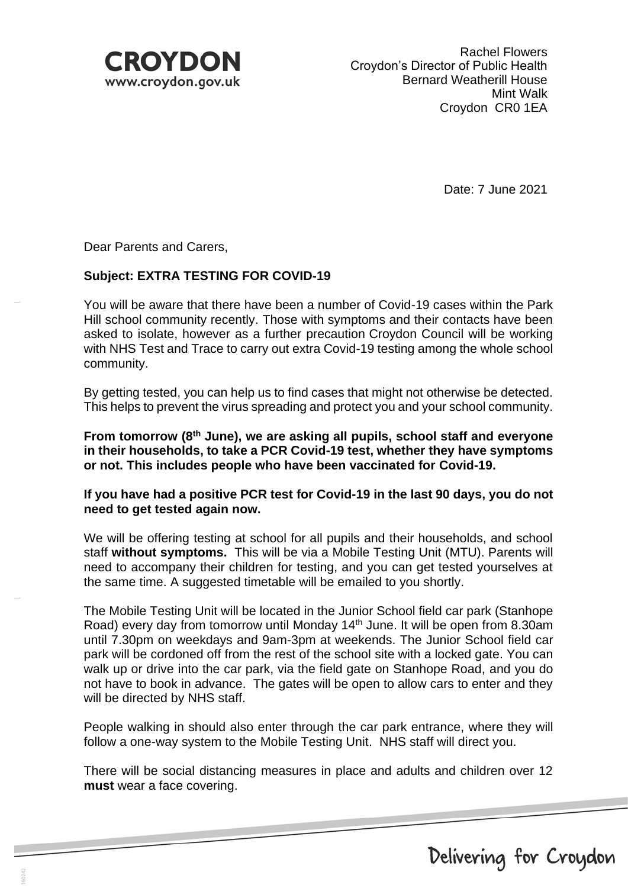

Date: 7 June 2021

Dear Parents and Carers,

# **Subject: EXTRA TESTING FOR COVID-19**

You will be aware that there have been a number of Covid-19 cases within the Park Hill school community recently. Those with symptoms and their contacts have been asked to isolate, however as a further precaution Croydon Council will be working with NHS Test and Trace to carry out extra Covid-19 testing among the whole school community.

By getting tested, you can help us to find cases that might not otherwise be detected. This helps to prevent the virus spreading and protect you and your school community.

**From tomorrow (8 th June), we are asking all pupils, school staff and everyone in their households, to take a PCR Covid-19 test, whether they have symptoms or not. This includes people who have been vaccinated for Covid-19.**

#### **If you have had a positive PCR test for Covid-19 in the last 90 days, you do not need to get tested again now.**

We will be offering testing at school for all pupils and their households, and school staff **without symptoms.** This will be via a Mobile Testing Unit (MTU). Parents will need to accompany their children for testing, and you can get tested yourselves at the same time. A suggested timetable will be emailed to you shortly.

The Mobile Testing Unit will be located in the Junior School field car park (Stanhope Road) every day from tomorrow until Monday 14<sup>th</sup> June. It will be open from 8.30am until 7.30pm on weekdays and 9am-3pm at weekends. The Junior School field car park will be cordoned off from the rest of the school site with a locked gate. You can walk up or drive into the car park, via the field gate on Stanhope Road, and you do not have to book in advance. The gates will be open to allow cars to enter and they will be directed by NHS staff.

People walking in should also enter through the car park entrance, where they will follow a one-way system to the Mobile Testing Unit. NHS staff will direct you.

There will be social distancing measures in place and adults and children over 12 **must** wear a face covering.

Delivering for Croydon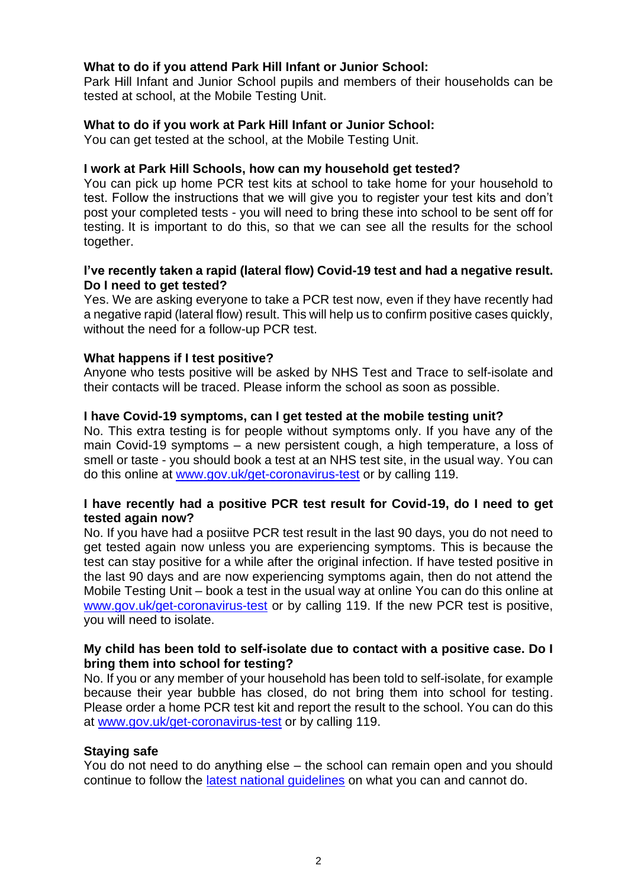#### **What to do if you attend Park Hill Infant or Junior School:**

Park Hill Infant and Junior School pupils and members of their households can be tested at school, at the Mobile Testing Unit.

### **What to do if you work at Park Hill Infant or Junior School:**

You can get tested at the school, at the Mobile Testing Unit.

### **I work at Park Hill Schools, how can my household get tested?**

You can pick up home PCR test kits at school to take home for your household to test. Follow the instructions that we will give you to register your test kits and don't post your completed tests - you will need to bring these into school to be sent off for testing. It is important to do this, so that we can see all the results for the school together.

#### **I've recently taken a rapid (lateral flow) Covid-19 test and had a negative result. Do I need to get tested?**

Yes. We are asking everyone to take a PCR test now, even if they have recently had a negative rapid (lateral flow) result. This will help us to confirm positive cases quickly, without the need for a follow-up PCR test.

#### **What happens if I test positive?**

Anyone who tests positive will be asked by NHS Test and Trace to self-isolate and their contacts will be traced. Please inform the school as soon as possible.

## **I have Covid-19 symptoms, can I get tested at the mobile testing unit?**

No. This extra testing is for people without symptoms only. If you have any of the main Covid-19 symptoms – a new persistent cough, a high temperature, a loss of smell or taste - you should book a test at an NHS test site, in the usual way. You can do this online at [www.gov.uk/get-coronavirus-test](https://www.gov.uk/get-coronavirus-test) or by calling 119.

## **I have recently had a positive PCR test result for Covid-19, do I need to get tested again now?**

No. If you have had a posiitve PCR test result in the last 90 days, you do not need to get tested again now unless you are experiencing symptoms. This is because the test can stay positive for a while after the original infection. If have tested positive in the last 90 days and are now experiencing symptoms again, then do not attend the Mobile Testing Unit – book a test in the usual way at online You can do this online at [www.gov.uk/get-coronavirus-test](https://www.gov.uk/get-coronavirus-test) or by calling 119. If the new PCR test is positive, you will need to isolate.

#### **My child has been told to self-isolate due to contact with a positive case. Do I bring them into school for testing?**

No. If you or any member of your household has been told to self-isolate, for example because their year bubble has closed, do not bring them into school for testing. Please order a home PCR test kit and report the result to the school. You can do this at [www.gov.uk/get-coronavirus-test](https://www.gov.uk/get-coronavirus-test) or by calling 119.

#### **Staying safe**

You do not need to do anything else – the school can remain open and you should continue to follow the [latest national guidelines](https://www.gov.uk/guidance/covid-19-coronavirus-restrictions-what-you-can-and-cannot-do?gclid=CjwKCAjwnPOEBhA0EiwA609RebJb3gUSjOZ8T3w-4aflOLgUvC1ZTUeviCHANs35lc_NT7OiOvFhrBoC4oYQAvD_BwE) on what you can and cannot do.